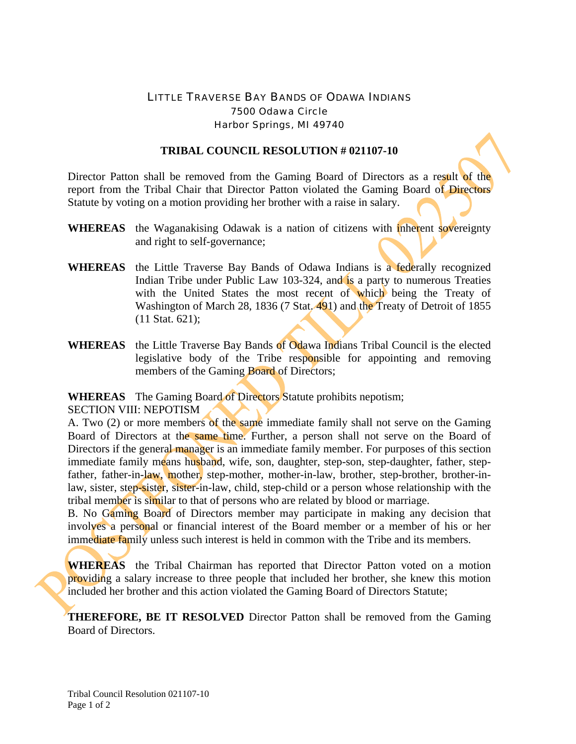## LITTLE TRAVERSE BAY BANDS OF ODAWA INDIANS 7500 Odawa Circle Harbor Springs, MI 49740

## **TRIBAL COUNCIL RESOLUTION # 021107-10**

Director Patton shall be removed from the Gaming Board of Directors as a result of the report from the Tribal Chair that Director Patton violated the Gaming Board of Directors Statute by voting on a motion providing her brother with a raise in salary.

- **WHEREAS** the Waganakising Odawak is a nation of citizens with inherent sovereignty and right to self-governance;
- **WHEREAS** the Little Traverse Bay Bands of Odawa Indians is a federally recognized Indian Tribe under Public Law 103-324, and is a party to numerous Treaties with the United States the most recent of which being the Treaty of Washington of March 28, 1836 (7 Stat. 491) and the Treaty of Detroit of 1855 (11 Stat. 621);
- **WHEREAS** the Little Traverse Bay Bands of Odawa Indians Tribal Council is the elected legislative body of the Tribe responsible for appointing and removing members of the Gaming **Board** of Directors;

**WHEREAS** The Gaming Board of Directors Statute prohibits nepotism;

SECTION VIII: NEPOTISM

A. Two (2) or more members of the same immediate family shall not serve on the Gaming Board of Directors at the same time. Further, a person shall not serve on the Board of Directors if the general manager is an immediate family member. For purposes of this section immediate family means husband, wife, son, daughter, step-son, step-daughter, father, stepfather, father-in-law, mother, step-mother, mother-in-law, brother, step-brother, brother-inlaw, sister, step-sister, sister-in-law, child, step-child or a person whose relationship with the tribal member is similar to that of persons who are related by blood or marriage.

B. No Gaming Board of Directors member may participate in making any decision that involves a personal or financial interest of the Board member or a member of his or her immediate family unless such interest is held in common with the Tribe and its members.

**WHEREAS** the Tribal Chairman has reported that Director Patton voted on a motion providing a salary increase to three people that included her brother, she knew this motion included her brother and this action violated the Gaming Board of Directors Statute;

**THEREFORE, BE IT RESOLVED** Director Patton shall be removed from the Gaming Board of Directors.